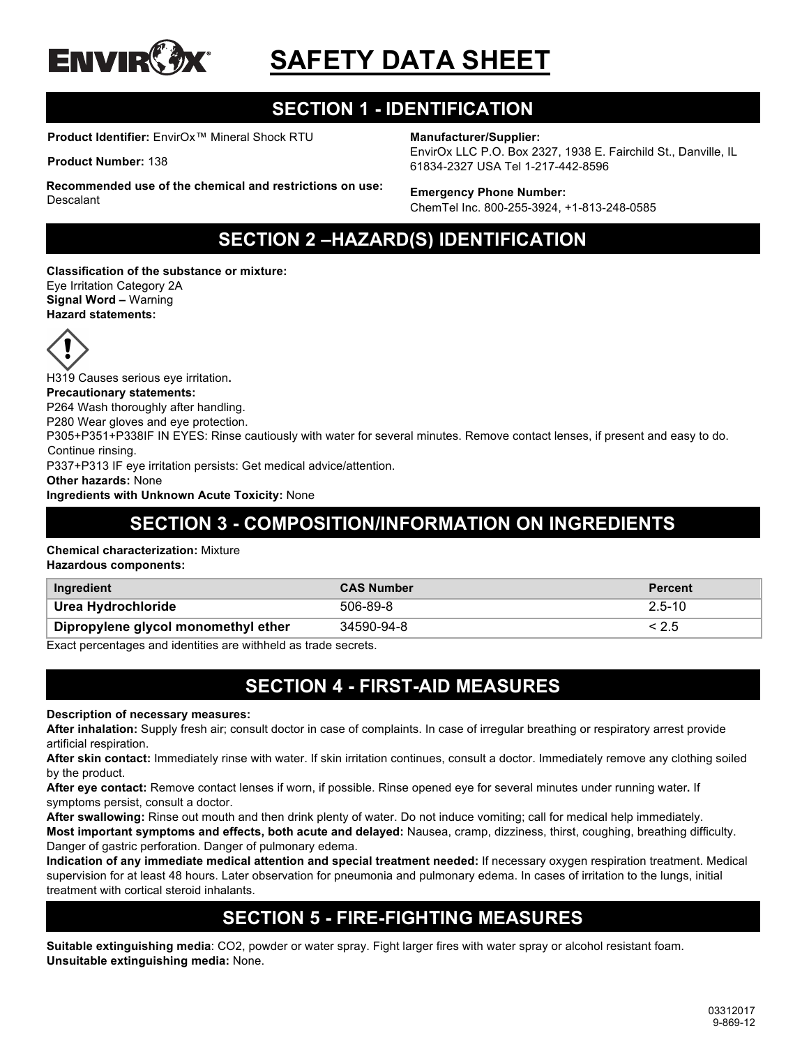

# **SAFETY DATA SHEET**

# **SECTION 1 - IDENTIFICATION**

**Product Identifier:** EnvirOx™ Mineral Shock RTU

**Product Number:** 138

#### **Manufacturer/Supplier:**

EnvirOx LLC P.O. Box 2327, 1938 E. Fairchild St., Danville, IL 61834-2327 USA Tel 1-217-442-8596

#### **Recommended use of the chemical and restrictions on use: Descalant**

**Emergency Phone Number:** ChemTel Inc. 800-255-3924, +1-813-248-0585

# **SECTION 2 –HAZARD(S) IDENTIFICATION**

**Classification of the substance or mixture:** Eye Irritation Category 2A **Signal Word –** Warning **Hazard statements:**



H319 Causes serious eye irritation**.**

#### **Precautionary statements:**

P264 Wash thoroughly after handling.

P280 Wear gloves and eye protection.

P305+P351+P338IF IN EYES: Rinse cautiously with water for several minutes. Remove contact lenses, if present and easy to do. Continue rinsing.

P337+P313 IF eye irritation persists: Get medical advice/attention.

**Other hazards:** None

**Ingredients with Unknown Acute Toxicity:** None

# **SECTION 3 - COMPOSITION/INFORMATION ON INGREDIENTS**

#### **Chemical characterization:** Mixture

**Hazardous components:**

| Ingredient                          | <b>CAS Number</b> | <b>Percent</b> |
|-------------------------------------|-------------------|----------------|
| Urea Hydrochloride                  | 506-89-8          | $2.5 - 10$     |
| Dipropylene glycol monomethyl ether | 34590-94-8        |                |

Exact percentages and identities are withheld as trade secrets.

### **SECTION 4 - FIRST-AID MEASURES**

**Description of necessary measures:**

**After inhalation:** Supply fresh air; consult doctor in case of complaints. In case of irregular breathing or respiratory arrest provide artificial respiration.

**After skin contact:** Immediately rinse with water. If skin irritation continues, consult a doctor. Immediately remove any clothing soiled by the product.

**After eye contact:** Remove contact lenses if worn, if possible. Rinse opened eye for several minutes under running water**.** If symptoms persist, consult a doctor.

**After swallowing:** Rinse out mouth and then drink plenty of water. Do not induce vomiting; call for medical help immediately. **Most important symptoms and effects, both acute and delayed:** Nausea, cramp, dizziness, thirst, coughing, breathing difficulty. Danger of gastric perforation. Danger of pulmonary edema.

**Indication of any immediate medical attention and special treatment needed:** If necessary oxygen respiration treatment. Medical supervision for at least 48 hours. Later observation for pneumonia and pulmonary edema. In cases of irritation to the lungs, initial treatment with cortical steroid inhalants.

# **SECTION 5 - FIRE-FIGHTING MEASURES**

**Suitable extinguishing media**: CO2, powder or water spray. Fight larger fires with water spray or alcohol resistant foam. **Unsuitable extinguishing media:** None.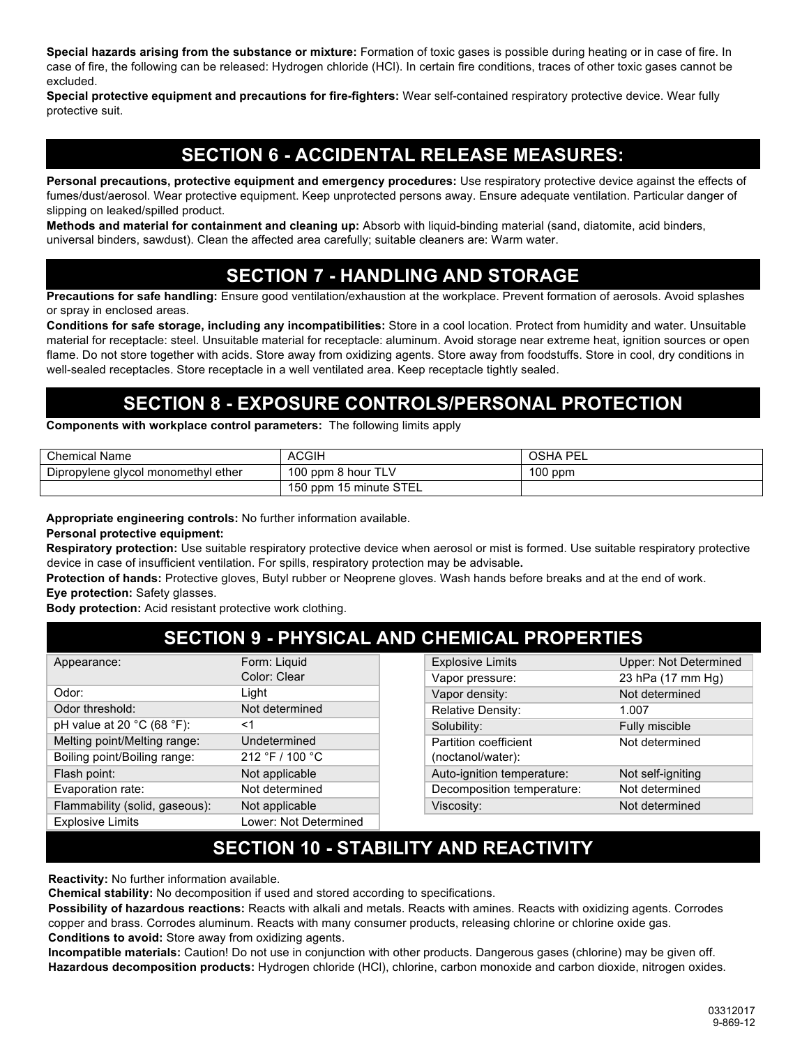**Special hazards arising from the substance or mixture:** Formation of toxic gases is possible during heating or in case of fire. In case of fire, the following can be released: Hydrogen chloride (HCl). In certain fire conditions, traces of other toxic gases cannot be excluded.

**Special protective equipment and precautions for fire-fighters:** Wear self-contained respiratory protective device. Wear fully protective suit.

# **SECTION 6 - ACCIDENTAL RELEASE MEASURES:**

**Personal precautions, protective equipment and emergency procedures:** Use respiratory protective device against the effects of fumes/dust/aerosol. Wear protective equipment. Keep unprotected persons away. Ensure adequate ventilation. Particular danger of slipping on leaked/spilled product.

**Methods and material for containment and cleaning up:** Absorb with liquid-binding material (sand, diatomite, acid binders, universal binders, sawdust). Clean the affected area carefully; suitable cleaners are: Warm water.

### **SECTION 7 - HANDLING AND STORAGE**

**Precautions for safe handling:** Ensure good ventilation/exhaustion at the workplace. Prevent formation of aerosols. Avoid splashes or spray in enclosed areas.

**Conditions for safe storage, including any incompatibilities:** Store in a cool location. Protect from humidity and water. Unsuitable material for receptacle: steel. Unsuitable material for receptacle: aluminum. Avoid storage near extreme heat, ignition sources or open flame. Do not store together with acids. Store away from oxidizing agents. Store away from foodstuffs. Store in cool, dry conditions in well-sealed receptacles. Store receptacle in a well ventilated area. Keep receptacle tightly sealed.

### **SECTION 8 - EXPOSURE CONTROLS/PERSONAL PROTECTION**

**Components with workplace control parameters:** The following limits apply

| <b>Chemical Name</b>                | <b>ACGIH</b>           | <b>OSHA PEL</b> |
|-------------------------------------|------------------------|-----------------|
| Dipropylene glycol monomethyl ether | 100 ppm 8 hour TLV     | $100$ ppm       |
|                                     | 150 ppm 15 minute STEL |                 |

**Appropriate engineering controls:** No further information available.

**Personal protective equipment:**

**Respiratory protection:** Use suitable respiratory protective device when aerosol or mist is formed. Use suitable respiratory protective device in case of insufficient ventilation. For spills, respiratory protection may be advisable**.**

**Protection of hands:** Protective gloves, Butyl rubber or Neoprene gloves. Wash hands before breaks and at the end of work. **Eye protection:** Safety glasses.

**Body protection:** Acid resistant protective work clothing.

# **SECTION 9 - PHYSICAL AND CHEMICAL PROPERTIES**

| Appearance:                                    | Form: Liquid          |
|------------------------------------------------|-----------------------|
|                                                | Color: Clear          |
| Odor:                                          | Light                 |
| Odor threshold:                                | Not determined        |
| pH value at 20 $^{\circ}$ C (68 $^{\circ}$ F): | <1                    |
| Melting point/Melting range:                   | Undetermined          |
| Boiling point/Boiling range:                   | 212 °F / 100 °C       |
| Flash point:                                   | Not applicable        |
| Evaporation rate:                              | Not determined        |
| Flammability (solid, gaseous):                 | Not applicable        |
| <b>Explosive Limits</b>                        | Lower: Not Determined |

| <b>Explosive Limits</b>                    | <b>Upper: Not Determined</b> |
|--------------------------------------------|------------------------------|
| Vapor pressure:                            | 23 hPa (17 mm Hg)            |
| Vapor density:                             | Not determined               |
| Relative Density:                          | 1.007                        |
| Solubility:                                | Fully miscible               |
| Partition coefficient<br>(noctanol/water): | Not determined               |
| Auto-ignition temperature:                 | Not self-igniting            |
| Decomposition temperature:                 | Not determined               |
| Viscosity:                                 | Not determined               |

# **SECTION 10 - STABILITY AND REACTIVITY**

**Reactivity:** No further information available.

**Chemical stability:** No decomposition if used and stored according to specifications.

**Possibility of hazardous reactions:** Reacts with alkali and metals. Reacts with amines. Reacts with oxidizing agents. Corrodes copper and brass. Corrodes aluminum. Reacts with many consumer products, releasing chlorine or chlorine oxide gas. **Conditions to avoid:** Store away from oxidizing agents.

**Incompatible materials:** Caution! Do not use in conjunction with other products. Dangerous gases (chlorine) may be given off. **Hazardous decomposition products:** Hydrogen chloride (HCl), chlorine, carbon monoxide and carbon dioxide, nitrogen oxides.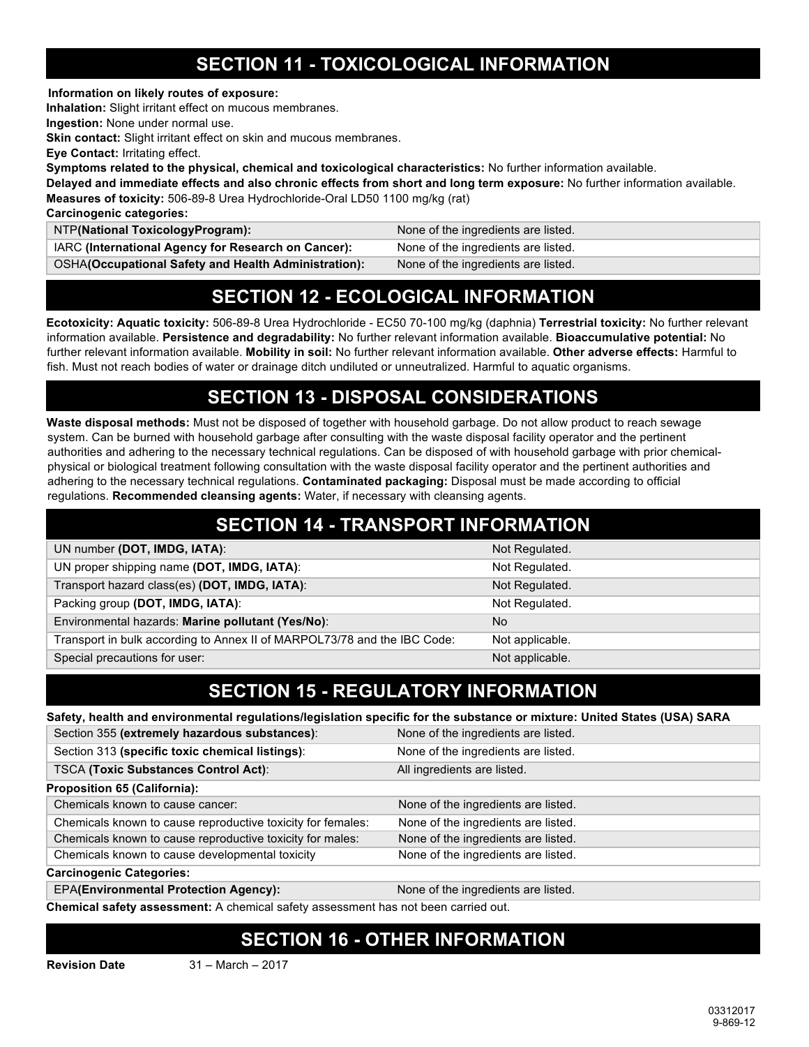# **SECTION 11 - TOXICOLOGICAL INFORMATION**

**Information on likely routes of exposure:**

**Inhalation:** Slight irritant effect on mucous membranes.

**Ingestion:** None under normal use.

**Skin contact:** Slight irritant effect on skin and mucous membranes.

**Eye Contact:** Irritating effect.

**Symptoms related to the physical, chemical and toxicological characteristics:** No further information available.

**Delayed and immediate effects and also chronic effects from short and long term exposure:** No further information available. **Measures of toxicity:** 506-89-8 Urea Hydrochloride-Oral LD50 1100 mg/kg (rat)

**Carcinogenic categories:** 

| NTP(National ToxicologyProgram):                            | None of the ingredients are listed. |
|-------------------------------------------------------------|-------------------------------------|
| IARC (International Agency for Research on Cancer):         | None of the ingredients are listed. |
| <b>OSHA(Occupational Safety and Health Administration):</b> | None of the ingredients are listed. |

### **SECTION 12 - ECOLOGICAL INFORMATION**

**Ecotoxicity: Aquatic toxicity:** 506-89-8 Urea Hydrochloride - EC50 70-100 mg/kg (daphnia) **Terrestrial toxicity:** No further relevant information available. **Persistence and degradability:** No further relevant information available. **Bioaccumulative potential:** No further relevant information available. **Mobility in soil:** No further relevant information available. **Other adverse effects:** Harmful to fish. Must not reach bodies of water or drainage ditch undiluted or unneutralized. Harmful to aquatic organisms.

# **SECTION 13 - DISPOSAL CONSIDERATIONS**

**Waste disposal methods:** Must not be disposed of together with household garbage. Do not allow product to reach sewage system. Can be burned with household garbage after consulting with the waste disposal facility operator and the pertinent authorities and adhering to the necessary technical regulations. Can be disposed of with household garbage with prior chemicalphysical or biological treatment following consultation with the waste disposal facility operator and the pertinent authorities and adhering to the necessary technical regulations. **Contaminated packaging:** Disposal must be made according to official regulations. **Recommended cleansing agents:** Water, if necessary with cleansing agents.

| <b>SECTION 14 - TRANSPORT INFORMATION</b>                                |                 |  |
|--------------------------------------------------------------------------|-----------------|--|
| UN number (DOT, IMDG, IATA):                                             | Not Regulated.  |  |
| UN proper shipping name (DOT, IMDG, IATA):                               | Not Regulated.  |  |
| Transport hazard class(es) (DOT, IMDG, IATA):                            | Not Regulated.  |  |
| Packing group (DOT, IMDG, IATA):                                         | Not Regulated.  |  |
| Environmental hazards: Marine pollutant (Yes/No):                        | No.             |  |
| Transport in bulk according to Annex II of MARPOL73/78 and the IBC Code: | Not applicable. |  |
| Special precautions for user:                                            | Not applicable. |  |

# **SECTION 15 - REGULATORY INFORMATION**

**Safety, health and environmental regulations/legislation specific for the substance or mixture: United States (USA) SARA**

| Section 355 (extremely hazardous substances):               | None of the ingredients are listed. |
|-------------------------------------------------------------|-------------------------------------|
| Section 313 (specific toxic chemical listings):             | None of the ingredients are listed. |
| <b>TSCA (Toxic Substances Control Act):</b>                 | All ingredients are listed.         |
| <b>Proposition 65 (California):</b>                         |                                     |
| Chemicals known to cause cancer:                            | None of the ingredients are listed. |
| Chemicals known to cause reproductive toxicity for females: | None of the ingredients are listed. |
| Chemicals known to cause reproductive toxicity for males:   | None of the ingredients are listed. |
| Chemicals known to cause developmental toxicity             | None of the ingredients are listed. |
| <b>Carcinogenic Categories:</b>                             |                                     |

EPA**(Environmental Protection Agency):** None of the ingredients are listed.

**Chemical safety assessment:** A chemical safety assessment has not been carried out.

# **SECTION 16 - OTHER INFORMATION**

**Revision Date** 31 – March – 2017